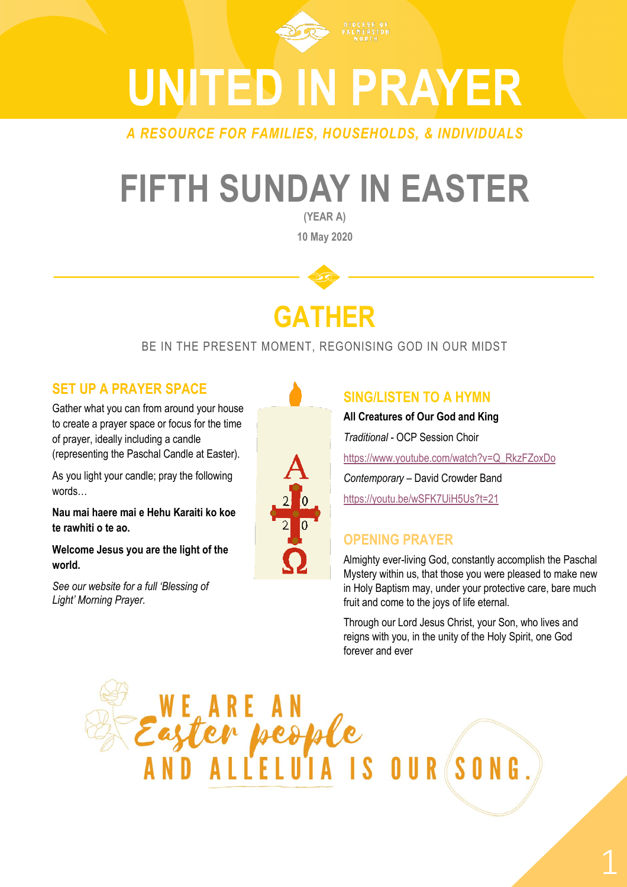

# **UNITED IN PRAYER**

*A RESOURCE FOR FAMILIES, HOUSEHOLDS, & INDIVIDUALS*

# **FIFTH SUNDAY IN EASTER**

**(YEAR A)**

**10 May 2020**

# **GATHER**

# BE IN THE PRESENT MOMENT, REGONISING GOD IN OUR MIDST

# **SET UP A PRAYER SPACE**

Gather what you can from around your house to create a prayer space or focus for the time of prayer, ideally including a candle (representing the Paschal Candle at Easter).

As you light your candle; pray the following words…

**Nau mai haere mai e Hehu Karaiti ko koe te rawhiti o te ao.** 

**Welcome Jesus you are the light of the world.**

*See our website for a full 'Blessing of Light' Morning Prayer.*



# **SING/LISTEN TO A HYMN**

**All Creatures of Our God and King** *Traditional* - OCP Session Choir [https://www.youtube.com/watch?v=Q\\_RkzFZoxDo](https://www.youtube.com/watch?v=Q_RkzFZoxDo) *Contemporary* – David Crowder Band

<https://youtu.be/wSFK7UiH5Us?t=21>

# **OPENING PRAYER**

Almighty ever-living God, constantly accomplish the Paschal Mystery within us, that those you were pleased to make new in Holy Baptism may, under your protective care, bare much fruit and come to the joys of life eternal.

Through our Lord Jesus Christ, your Son, who lives and reigns with you, in the unity of the Holy Spirit, one God forever and ever

WE ARE AN<br>Aster people<br>IND ALLELUIA IS  $S<sub>0</sub>$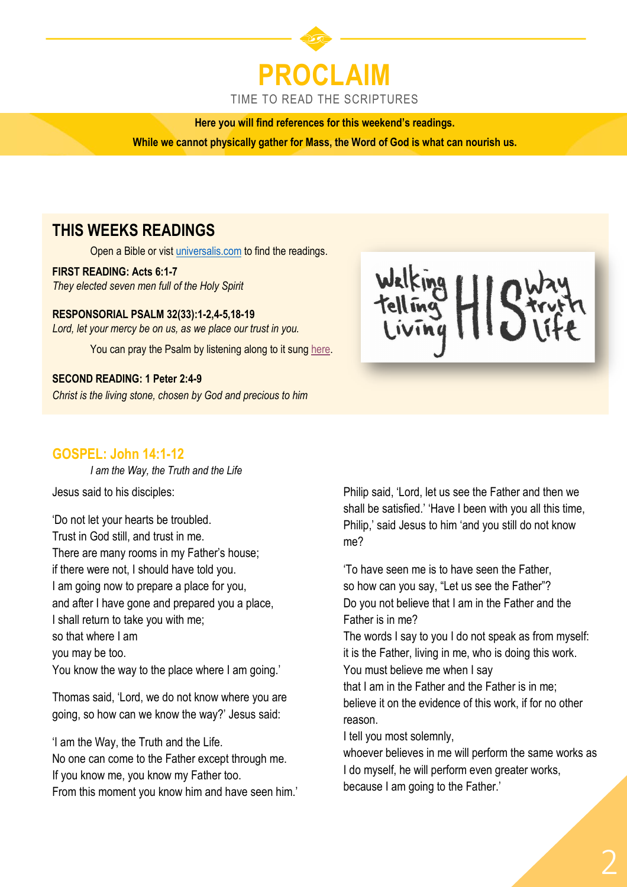

**Here you will find references for this weekend's readings.**

**While we cannot physically gather for Mass, the Word of God is what can nourish us.** 

# **THIS WEEKS READINGS**

Open a Bible or vist [universalis.com](https://universalis.com/mass.htm) to find the readings.

#### **FIRST READING: Acts 6:1-7**

*They elected seven men full of the Holy Spirit*

#### **RESPONSORIAL PSALM 32(33):1-2,4-5,18-19**

*Lord, let your mercy be on us, as we place our trust in you.*

You can pray the Psalm by listening along to it sung [here.](https://www.youtube.com/watch?v=jdVkont7tu8)

#### **SECOND READING: 1 Peter 2:4-9**

*Christ is the living stone, chosen by God and precious to him*

### **GOSPEL: John 14:1-12**

*I am the Way, the Truth and the Life*

Jesus said to his disciples:

'Do not let your hearts be troubled. Trust in God still, and trust in me. There are many rooms in my Father's house; if there were not, I should have told you. I am going now to prepare a place for you, and after I have gone and prepared you a place, I shall return to take you with me; so that where I am you may be too. You know the way to the place where I am going.'

Thomas said, 'Lord, we do not know where you are going, so how can we know the way?' Jesus said:

'I am the Way, the Truth and the Life.

No one can come to the Father except through me. If you know me, you know my Father too.

From this moment you know him and have seen him.'

Philip said, 'Lord, let us see the Father and then we shall be satisfied.' 'Have I been with you all this time, Philip,' said Jesus to him 'and you still do not know me?

'To have seen me is to have seen the Father, so how can you say, "Let us see the Father"? Do you not believe that I am in the Father and the Father is in me?

The words I say to you I do not speak as from myself: it is the Father, living in me, who is doing this work. You must believe me when I say

that I am in the Father and the Father is in me;

believe it on the evidence of this work, if for no other reason.

I tell you most solemnly,

whoever believes in me will perform the same works as I do myself, he will perform even greater works, because I am going to the Father.'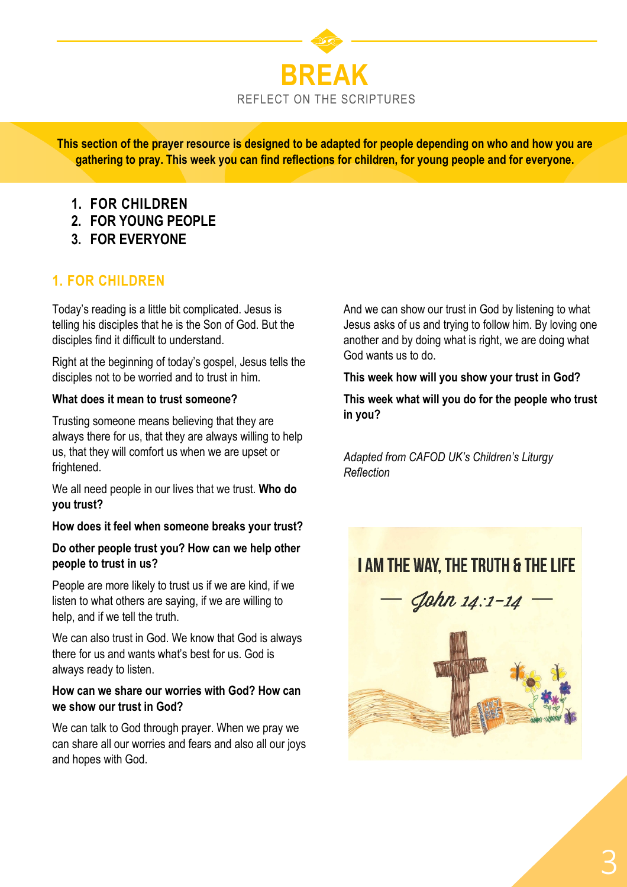

**This section of the prayer resource is designed to be adapted for people depending on who and how you are gathering to pray. This week you can find reflections for children, for young people and for everyone.**

- **1. FOR CHILDREN**
- **2. FOR YOUNG PEOPLE**
- **3. FOR EVERYONE**

# **1. FOR CHILDREN**

Today's reading is a little bit complicated. Jesus is telling his disciples that he is the Son of God. But the disciples find it difficult to understand.

Right at the beginning of today's gospel, Jesus tells the disciples not to be worried and to trust in him.

#### **What does it mean to trust someone?**

Trusting someone means believing that they are always there for us, that they are always willing to help us, that they will comfort us when we are upset or frightened.

We all need people in our lives that we trust. **Who do you trust?**

#### **How does it feel when someone breaks your trust?**

#### **Do other people trust you? How can we help other people to trust in us?**

People are more likely to trust us if we are kind, if we listen to what others are saying, if we are willing to help, and if we tell the truth.

We can also trust in God. We know that God is always there for us and wants what's best for us. God is always ready to listen.

#### **How can we share our worries with God? How can we show our trust in God?**

We can talk to God through prayer. When we pray we can share all our worries and fears and also all our joys and hopes with God.

And we can show our trust in God by listening to what Jesus asks of us and trying to follow him. By loving one another and by doing what is right, we are doing what God wants us to do.

**This week how will you show your trust in God?** 

**This week what will you do for the people who trust in you?**

*Adapted from CAFOD UK's Children's Liturgy Reflection*



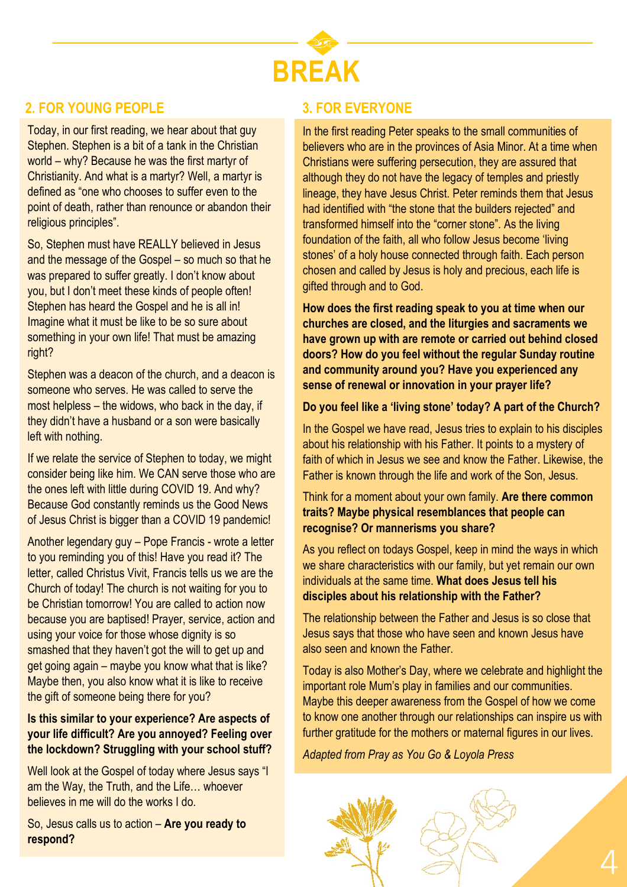

## **2. FOR YOUNG PEOPLE**

Today, in our first reading, we hear about that guy Stephen. Stephen is a bit of a tank in the Christian world – why? Because he was the first martyr of Christianity. And what is a martyr? Well, a martyr is defined as "one who chooses to suffer even to the point of death, rather than renounce or abandon their religious principles".

So, Stephen must have REALLY believed in Jesus and the message of the Gospel – so much so that he was prepared to suffer greatly. I don't know about you, but I don't meet these kinds of people often! Stephen has heard the Gospel and he is all in! Imagine what it must be like to be so sure about something in your own life! That must be amazing right?

Stephen was a deacon of the church, and a deacon is someone who serves. He was called to serve the most helpless – the widows, who back in the day, if they didn't have a husband or a son were basically left with nothing.

If we relate the service of Stephen to today, we might consider being like him. We CAN serve those who are the ones left with little during COVID 19. And why? Because God constantly reminds us the Good News of Jesus Christ is bigger than a COVID 19 pandemic!

Another legendary guy – Pope Francis - wrote a letter to you reminding you of this! Have you read it? The letter, called Christus Vivit, Francis tells us we are the Church of today! The church is not waiting for you to be Christian tomorrow! You are called to action now because you are baptised! Prayer, service, action and using your voice for those whose dignity is so smashed that they haven't got the will to get up and get going again – maybe you know what that is like? Maybe then, you also know what it is like to receive the gift of someone being there for you?

#### **Is this similar to your experience? Are aspects of your life difficult? Are you annoyed? Feeling over the lockdown? Struggling with your school stuff?**

Well look at the Gospel of today where Jesus says "I am the Way, the Truth, and the Life… whoever believes in me will do the works I do.

So, Jesus calls us to action – **Are you ready to respond?**

## **3. FOR EVERYONE**

In the first reading Peter speaks to the small communities of believers who are in the provinces of Asia Minor. At a time when Christians were suffering persecution, they are assured that although they do not have the legacy of temples and priestly lineage, they have Jesus Christ. Peter reminds them that Jesus had identified with "the stone that the builders rejected" and transformed himself into the "corner stone". As the living foundation of the faith, all who follow Jesus become 'living stones' of a holy house connected through faith. Each person chosen and called by Jesus is holy and precious, each life is gifted through and to God.

**How does the first reading speak to you at time when our churches are closed, and the liturgies and sacraments we have grown up with are remote or carried out behind closed doors? How do you feel without the regular Sunday routine and community around you? Have you experienced any sense of renewal or innovation in your prayer life?**

#### **Do you feel like a 'living stone' today? A part of the Church?**

In the Gospel we have read, Jesus tries to explain to his disciples about his relationship with his Father. It points to a mystery of faith of which in Jesus we see and know the Father. Likewise, the Father is known through the life and work of the Son, Jesus.

#### Think for a moment about your own family. **Are there common traits? Maybe physical resemblances that people can recognise? Or mannerisms you share?**

As you reflect on todays Gospel, keep in mind the ways in which we share characteristics with our family, but yet remain our own individuals at the same time. **What does Jesus tell his disciples about his relationship with the Father?**

The relationship between the Father and Jesus is so close that Jesus says that those who have seen and known Jesus have also seen and known the Father.

Today is also Mother's Day, where we celebrate and highlight the important role Mum's play in families and our communities. Maybe this deeper awareness from the Gospel of how we come to know one another through our relationships can inspire us with further gratitude for the mothers or maternal figures in our lives.

*Adapted from Pray as You Go & Loyola Press*